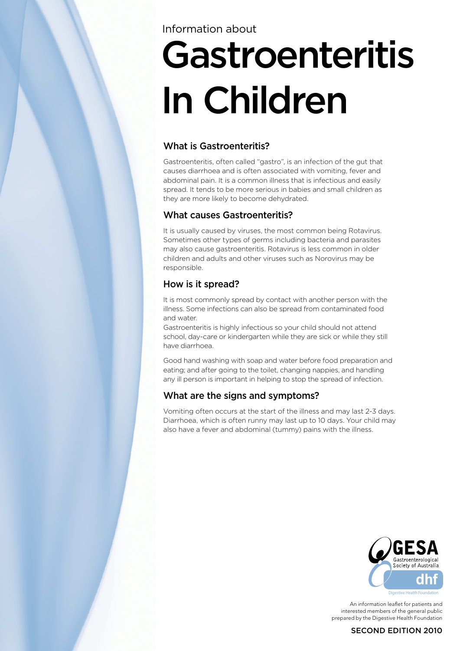# Information about

# Gastroenteritis In Children

# What is Gastroenteritis?

Gastroenteritis, often called "gastro", is an infection of the gut that causes diarrhoea and is often associated with vomiting, fever and abdominal pain. It is a common illness that is infectious and easily spread. It tends to be more serious in babies and small children as they are more likely to become dehydrated.

# What causes Gastroenteritis?

It is usually caused by viruses, the most common being Rotavirus. Sometimes other types of germs including bacteria and parasites may also cause gastroenteritis. Rotavirus is less common in older children and adults and other viruses such as Norovirus may be responsible.

# How is it spread?

It is most commonly spread by contact with another person with the illness. Some infections can also be spread from contaminated food and water.

Gastroenteritis is highly infectious so your child should not attend school, day-care or kindergarten while they are sick or while they still have diarrhoea.

Good hand washing with soap and water before food preparation and eating; and after going to the toilet, changing nappies, and handling any ill person is important in helping to stop the spread of infection.

# What are the signs and symptoms?

Vomiting often occurs at the start of the illness and may last 2-3 days. Diarrhoea, which is often runny may last up to 10 days. Your child may also have a fever and abdominal (tummy) pains with the illness.



An information leaflet for patients and interested members of the general public prepared by the Digestive Health Foundation

#### SECOND EDITION 2010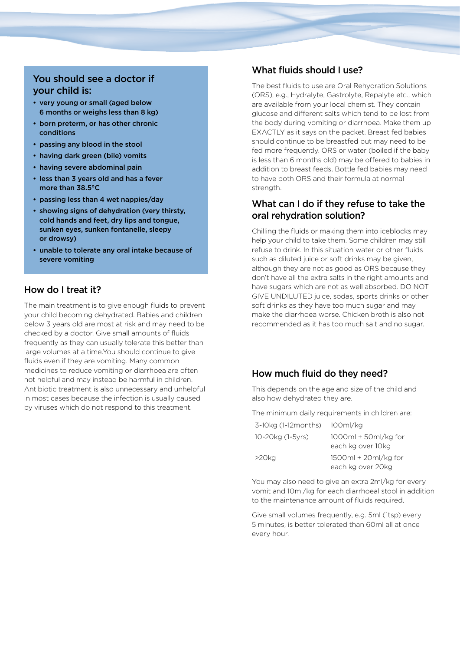# You should see a doctor if your child is:

- very young or small (aged below 6 months or weighs less than 8 kg)
- born preterm, or has other chronic conditions
- passing any blood in the stool
- having dark green (bile) vomits
- having severe abdominal pain
- less than 3 years old and has a fever more than 38.5°C
- passing less than 4 wet nappies/day
- showing signs of dehydration (very thirsty, cold hands and feet, dry lips and tongue, sunken eyes, sunken fontanelle, sleepy or drowsy)
- unable to tolerate any oral intake because of severe vomiting

#### How do I treat it?

The main treatment is to give enough fluids to prevent your child becoming dehydrated. Babies and children below 3 years old are most at risk and may need to be checked by a doctor. Give small amounts of fluids frequently as they can usually tolerate this better than large volumes at a time.You should continue to give fluids even if they are vomiting. Many common medicines to reduce vomiting or diarrhoea are often not helpful and may instead be harmful in children. Antibiotic treatment is also unnecessary and unhelpful in most cases because the infection is usually caused by viruses which do not respond to this treatment.

#### What fluids should I use?

The best fluids to use are Oral Rehydration Solutions (ORS), e.g., Hydralyte, Gastrolyte, Repalyte etc., which are available from your local chemist. They contain glucose and different salts which tend to be lost from the body during vomiting or diarrhoea. Make them up EXACTLY as it says on the packet. Breast fed babies should continue to be breastfed but may need to be fed more frequently. ORS or water (boiled if the baby is less than 6 months old) may be offered to babies in addition to breast feeds. Bottle fed babies may need to have both ORS and their formula at normal strength.

#### What can I do if they refuse to take the oral rehydration solution?

Chilling the fluids or making them into iceblocks may help your child to take them. Some children may still refuse to drink. In this situation water or other fluids such as diluted juice or soft drinks may be given, although they are not as good as ORS because they don't have all the extra salts in the right amounts and have sugars which are not as well absorbed. DO NOT GIVE UNDILUTED juice, sodas, sports drinks or other soft drinks as they have too much sugar and may make the diarrhoea worse. Chicken broth is also not recommended as it has too much salt and no sugar.

### How much fluid do they need?

This depends on the age and size of the child and also how dehydrated they are.

The minimum daily requirements in children are:

| $3-10$ kg (1-12 months) | 100ml/kg                                    |
|-------------------------|---------------------------------------------|
| 10-20kg (1-5yrs)        | $1000ml + 50ml/kg$ for<br>each kg over 10kg |
| $>20$ kg                | $1500ml + 20ml/kg$ for<br>each kg over 20kg |

You may also need to give an extra 2ml/kg for every vomit and 10ml/kg for each diarrhoeal stool in addition to the maintenance amount of fluids required.

Give small volumes frequently, e.g. 5ml (1tsp) every 5 minutes, is better tolerated than 60ml all at once every hour.